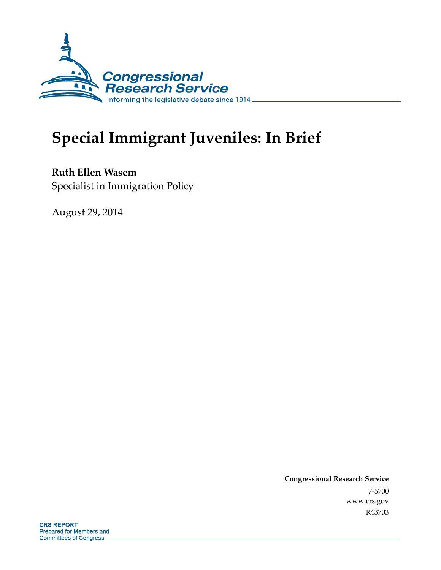

# **Special Immigrant Juveniles: In Brief**

**Ruth Ellen Wasem**  Specialist in Immigration Policy

August 29, 2014

**Congressional Research Service**  7-5700 www.crs.gov R43703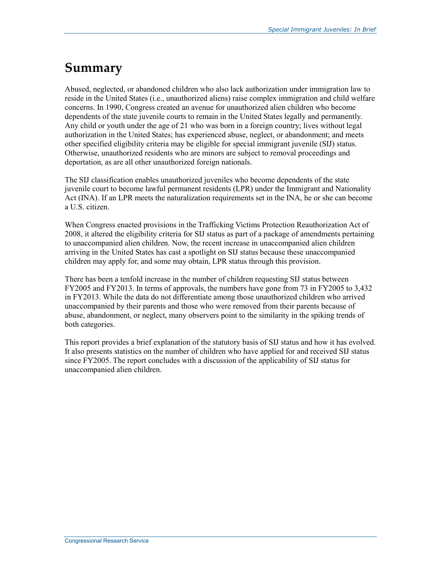## **Summary**

Abused, neglected, or abandoned children who also lack authorization under immigration law to reside in the United States (i.e., unauthorized aliens) raise complex immigration and child welfare concerns. In 1990, Congress created an avenue for unauthorized alien children who become dependents of the state juvenile courts to remain in the United States legally and permanently. Any child or youth under the age of 21 who was born in a foreign country; lives without legal authorization in the United States; has experienced abuse, neglect, or abandonment; and meets other specified eligibility criteria may be eligible for special immigrant juvenile (SIJ) status. Otherwise, unauthorized residents who are minors are subject to removal proceedings and deportation, as are all other unauthorized foreign nationals.

The SIJ classification enables unauthorized juveniles who become dependents of the state juvenile court to become lawful permanent residents (LPR) under the Immigrant and Nationality Act (INA). If an LPR meets the naturalization requirements set in the INA, he or she can become a U.S. citizen.

When Congress enacted provisions in the Trafficking Victims Protection Reauthorization Act of 2008, it altered the eligibility criteria for SIJ status as part of a package of amendments pertaining to unaccompanied alien children. Now, the recent increase in unaccompanied alien children arriving in the United States has cast a spotlight on SIJ status because these unaccompanied children may apply for, and some may obtain, LPR status through this provision.

There has been a tenfold increase in the number of children requesting SIJ status between FY2005 and FY2013. In terms of approvals, the numbers have gone from 73 in FY2005 to 3,432 in FY2013. While the data do not differentiate among those unauthorized children who arrived unaccompanied by their parents and those who were removed from their parents because of abuse, abandonment, or neglect, many observers point to the similarity in the spiking trends of both categories.

This report provides a brief explanation of the statutory basis of SIJ status and how it has evolved. It also presents statistics on the number of children who have applied for and received SIJ status since FY2005. The report concludes with a discussion of the applicability of SIJ status for unaccompanied alien children.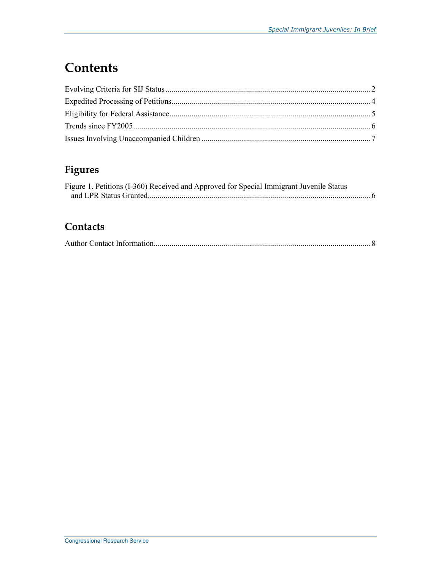## **Contents**

#### **Figures**

| Figure 1. Petitions (I-360) Received and Approved for Special Immigrant Juvenile Status |  |
|-----------------------------------------------------------------------------------------|--|
|                                                                                         |  |

#### **Contacts**

|--|--|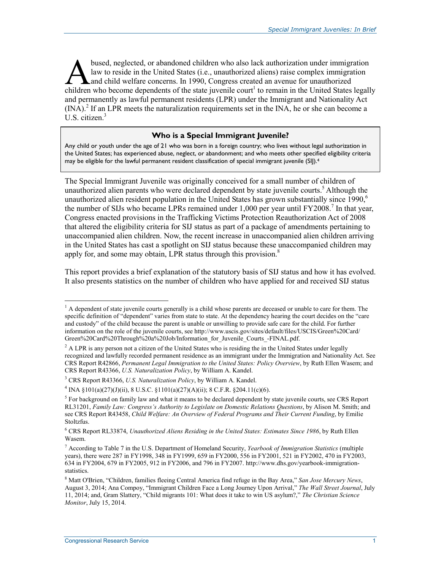bused, neglected, or abandoned children who also lack authorization under immigration law to reside in the United States (i.e., unauthorized aliens) raise complex immigration and child welfare concerns. In 1990, Congress created an avenue for unauthorized bused, neglected, or abandoned children who also lack authorization under immigration<br>law to reside in the United States (i.e., unauthorized aliens) raise complex immigration<br>children who become dependents of the state juv and permanently as lawful permanent residents (LPR) under the Immigrant and Nationality Act  $(NA)$ .<sup>2</sup> If an LPR meets the naturalization requirements set in the INA, he or she can become a U.S. citizen. $3$ 

#### **Who is a Special Immigrant Juvenile?**

Any child or youth under the age of 21 who was born in a foreign country; who lives without legal authorization in the United States; has experienced abuse, neglect, or abandonment; and who meets other specified eligibility criteria may be eligible for the lawful permanent resident classification of special immigrant juvenile (SIJ).<sup>4</sup>

The Special Immigrant Juvenile was originally conceived for a small number of children of unauthorized alien parents who were declared dependent by state juvenile courts.<sup>5</sup> Although the unauthorized alien resident population in the United States has grown substantially since 1990.<sup>6</sup> the number of SIJs who became LPRs remained under 1,000 per year until FY2008.<sup>7</sup> In that year, Congress enacted provisions in the Trafficking Victims Protection Reauthorization Act of 2008 that altered the eligibility criteria for SIJ status as part of a package of amendments pertaining to unaccompanied alien children. Now, the recent increase in unaccompanied alien children arriving in the United States has cast a spotlight on SIJ status because these unaccompanied children may apply for, and some may obtain, LPR status through this provision. $8$ 

This report provides a brief explanation of the statutory basis of SIJ status and how it has evolved. It also presents statistics on the number of children who have applied for and received SIJ status

<sup>&</sup>lt;sup>1</sup> A dependent of state juvenile courts generally is a child whose parents are deceased or unable to care for them. The specific definition of "dependent" varies from state to state. At the dependency hearing the court decides on the "care and custody" of the child because the parent is unable or unwilling to provide safe care for the child. For further information on the role of the juvenile courts, see http://www.uscis.gov/sites/default/files/USCIS/Green%20Card/ Green%20Card%20Through%20a%20Job/Information\_for\_Juvenile\_Courts\_-FINAL.pdf.

<sup>&</sup>lt;sup>2</sup> A LPR is any person not a citizen of the United States who is residing the in the United States under legally recognized and lawfully recorded permanent residence as an immigrant under the Immigration and Nationality Act. See CRS Report R42866, *Permanent Legal Immigration to the United States: Policy Overview*, by Ruth Ellen Wasem; and CRS Report R43366, *U.S. Naturalization Policy*, by William A. Kandel.

<sup>3</sup> CRS Report R43366, *U.S. Naturalization Policy*, by William A. Kandel.

<sup>&</sup>lt;sup>4</sup> INA §101(a)(27)(J)(ii), 8 U.S.C. §1101(a)(27)(A)(ii); 8 C.F.R. §204.11(c)(6).

 $<sup>5</sup>$  For background on family law and what it means to be declared dependent by state juvenile courts, see CRS Report</sup> RL31201, *Family Law: Congress's Authority to Legislate on Domestic Relations Questions*, by Alison M. Smith; and see CRS Report R43458, *Child Welfare: An Overview of Federal Programs and Their Current Funding*, by Emilie Stoltzfus.

<sup>6</sup> CRS Report RL33874, *Unauthorized Aliens Residing in the United States: Estimates Since 1986*, by Ruth Ellen Wasem.

<sup>7</sup> According to Table 7 in the U.S. Department of Homeland Security, *Yearbook of Immigration Statistics* (multiple years), there were 287 in FY1998, 348 in FY1999, 659 in FY2000, 556 in FY2001, 521 in FY2002, 470 in FY2003, 634 in FY2004, 679 in FY2005, 912 in FY2006, and 796 in FY2007. http://www.dhs.gov/yearbook-immigrationstatistics.

<sup>8</sup> Matt O'Brien, "Children, families fleeing Central America find refuge in the Bay Area," *San Jose Mercury News*, August 3, 2014; Ana Compoy, "Immigrant Children Face a Long Journey Upon Arrival," *The Wall Street Journal*, July 11, 2014; and, Gram Slattery, "Child migrants 101: What does it take to win US asylum?," *The Christian Science Monitor*, July 15, 2014.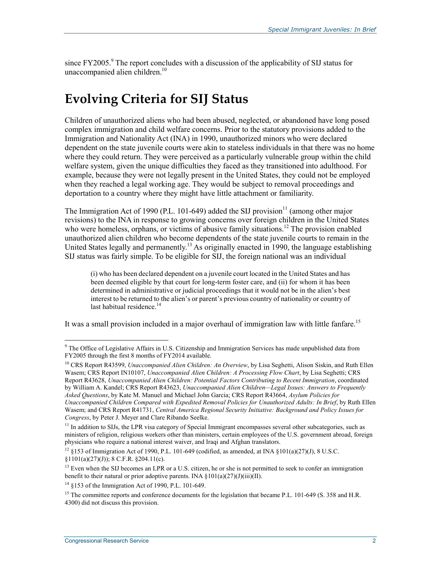since  $FY2005$ .<sup>9</sup> The report concludes with a discussion of the applicability of SIJ status for unaccompanied alien children.<sup>10</sup>

### **Evolving Criteria for SIJ Status**

Children of unauthorized aliens who had been abused, neglected, or abandoned have long posed complex immigration and child welfare concerns. Prior to the statutory provisions added to the Immigration and Nationality Act (INA) in 1990, unauthorized minors who were declared dependent on the state juvenile courts were akin to stateless individuals in that there was no home where they could return. They were perceived as a particularly vulnerable group within the child welfare system, given the unique difficulties they faced as they transitioned into adulthood. For example, because they were not legally present in the United States, they could not be employed when they reached a legal working age. They would be subject to removal proceedings and deportation to a country where they might have little attachment or familiarity.

The Immigration Act of 1990 (P.L. 101-649) added the SIJ provision<sup>11</sup> (among other major revisions) to the INA in response to growing concerns over foreign children in the United States who were homeless, orphans, or victims of abusive family situations.<sup>12</sup> The provision enabled unauthorized alien children who become dependents of the state juvenile courts to remain in the United States legally and permanently.<sup>13</sup> As originally enacted in 1990, the language establishing SIJ status was fairly simple. To be eligible for SIJ, the foreign national was an individual

(i) who has been declared dependent on a juvenile court located in the United States and has been deemed eligible by that court for long-term foster care, and (ii) for whom it has been determined in administrative or judicial proceedings that it would not be in the alien's best interest to be returned to the alien's or parent's previous country of nationality or country of last habitual residence. $14$ 

It was a small provision included in a major overhaul of immigration law with little fanfare.<sup>15</sup>

10 CRS Report R43599, *Unaccompanied Alien Children: An Overview*, by Lisa Seghetti, Alison Siskin, and Ruth Ellen Wasem; CRS Report IN10107, *Unaccompanied Alien Children: A Processing Flow Chart*, by Lisa Seghetti; CRS Report R43628, *Unaccompanied Alien Children: Potential Factors Contributing to Recent Immigration*, coordinated by William A. Kandel; CRS Report R43623, *Unaccompanied Alien Children—Legal Issues: Answers to Frequently Asked Questions*, by Kate M. Manuel and Michael John Garcia; CRS Report R43664, *Asylum Policies for Unaccompanied Children Compared with Expedited Removal Policies for Unauthorized Adults: In Brief*, by Ruth Ellen Wasem; and CRS Report R41731, *Central America Regional Security Initiative: Background and Policy Issues for Congress*, by Peter J. Meyer and Clare Ribando Seelke.

<sup>&</sup>lt;sup>9</sup> The Office of Legislative Affairs in U.S. Citizenship and Immigration Services has made unpublished data from FY2005 through the first 8 months of FY2014 available.

 $11$  In addition to SIJs, the LPR visa category of Special Immigrant encompasses several other subcategories, such as ministers of religion, religious workers other than ministers, certain employees of the U.S. government abroad, foreign physicians who require a national interest waiver, and Iraqi and Afghan translators.

<sup>&</sup>lt;sup>12</sup> §153 of Immigration Act of 1990, P.L. 101-649 (codified, as amended, at INA §101(a)(27)(J), 8 U.S.C.  $\S 1101(a)(27)(J)$ ; 8 C.F.R.  $\S 204.11(c)$ .

 $<sup>13</sup>$  Even when the SIJ becomes an LPR or a U.S. citizen, he or she is not permitted to seek to confer an immigration</sup> benefit to their natural or prior adoptive parents. INA  $\S 101(a)(27)(J)(iii)(II)$ .

<sup>14 §153</sup> of the Immigration Act of 1990, P.L. 101-649.

<sup>&</sup>lt;sup>15</sup> The committee reports and conference documents for the legislation that became P.L. 101-649 (S. 358 and H.R. 4300) did not discuss this provision.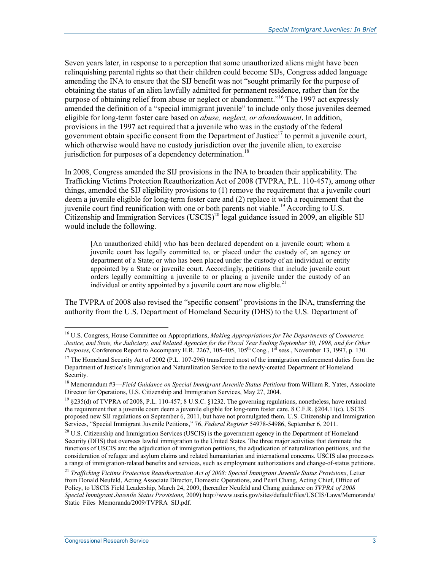Seven years later, in response to a perception that some unauthorized aliens might have been relinquishing parental rights so that their children could become SIJs, Congress added language amending the INA to ensure that the SIJ benefit was not "sought primarily for the purpose of obtaining the status of an alien lawfully admitted for permanent residence, rather than for the purpose of obtaining relief from abuse or neglect or abandonment."16 The 1997 act expressly amended the definition of a "special immigrant juvenile" to include only those juveniles deemed eligible for long-term foster care based on *abuse, neglect, or abandonment*. In addition, provisions in the 1997 act required that a juvenile who was in the custody of the federal government obtain specific consent from the Department of Justice<sup>17</sup> to permit a juvenile court, which otherwise would have no custody jurisdiction over the juvenile alien, to exercise jurisdiction for purposes of a dependency determination.<sup>18</sup>

In 2008, Congress amended the SIJ provisions in the INA to broaden their applicability. The Trafficking Victims Protection Reauthorization Act of 2008 (TVPRA, P.L. 110-457), among other things, amended the SIJ eligibility provisions to (1) remove the requirement that a juvenile court deem a juvenile eligible for long-term foster care and (2) replace it with a requirement that the juvenile court find reunification with one or both parents not viable.<sup>19</sup> According to U.S. Citizenship and Immigration Services  $(USCIS)^{20}$  legal guidance issued in 2009, an eligible SIJ would include the following.

[An unauthorized child] who has been declared dependent on a juvenile court; whom a juvenile court has legally committed to, or placed under the custody of, an agency or department of a State; or who has been placed under the custody of an individual or entity appointed by a State or juvenile court. Accordingly, petitions that include juvenile court orders legally committing a juvenile to or placing a juvenile under the custody of an individual or entity appointed by a juvenile court are now eligible.<sup>21</sup>

The TVPRA of 2008 also revised the "specific consent" provisions in the INA, transferring the authority from the U.S. Department of Homeland Security (DHS) to the U.S. Department of

<sup>16</sup> U.S. Congress, House Committee on Appropriations, *Making Appropriations for The Departments of Commerce, Justice, and State, the Judiciary, and Related Agencies for the Fiscal Year Ending September 30, 1998, and for Other Purposes, Conference Report to Accompany H.R. 2267, 105-405, 105<sup>th</sup> Cong., 1<sup>st</sup> sess., November 13, 1997, p. 130.* 

<sup>&</sup>lt;sup>17</sup> The Homeland Security Act of 2002 (P.L. 107-296) transferred most of the immigration enforcement duties from the Department of Justice's Immigration and Naturalization Service to the newly-created Department of Homeland Security.

<sup>18</sup> Memorandum #3—*Field Guidance on Special Immigrant Juvenile Status Petitions* from William R. Yates, Associate Director for Operations, U.S. Citizenship and Immigration Services, May 27, 2004.

<sup>&</sup>lt;sup>19</sup> §235(d) of TVPRA of 2008, P.L. 110-457; 8 U.S.C. §1232. The governing regulations, nonetheless, have retained the requirement that a juvenile court deem a juvenile eligible for long-term foster care. 8 C.F.R. §204.11(c). USCIS proposed new SIJ regulations on September 6, 2011, but have not promulgated them. U.S. Citizenship and Immigration Services, "Special Immigrant Juvenile Petitions," 76, *Federal Register* 54978-54986, September 6, 2011.

<sup>&</sup>lt;sup>20</sup> U.S. Citizenship and Immigration Services (USCIS) is the government agency in the Department of Homeland Security (DHS) that oversees lawful immigration to the United States. The three major activities that dominate the functions of USCIS are: the adjudication of immigration petitions, the adjudication of naturalization petitions, and the consideration of refugee and asylum claims and related humanitarian and international concerns. USCIS also processes a range of immigration-related benefits and services, such as employment authorizations and change-of-status petitions.

<sup>21</sup> *Trafficking Victims Protection Reauthorization Act of 2008: Special Immigrant Juvenile Status Provisions*, Letter from Donald Neufeld, Acting Associate Director, Domestic Operations, and Pearl Chang, Acting Chief, Office of Policy, to USCIS Field Leadership, March 24, 2009, (hereafter Neufeld and Chang guidance on *TVPRA of 2008 Special Immigrant Juvenile Status Provisions,* 2009) http://www.uscis.gov/sites/default/files/USCIS/Laws/Memoranda/ Static\_Files\_Memoranda/2009/TVPRA\_SIJ.pdf.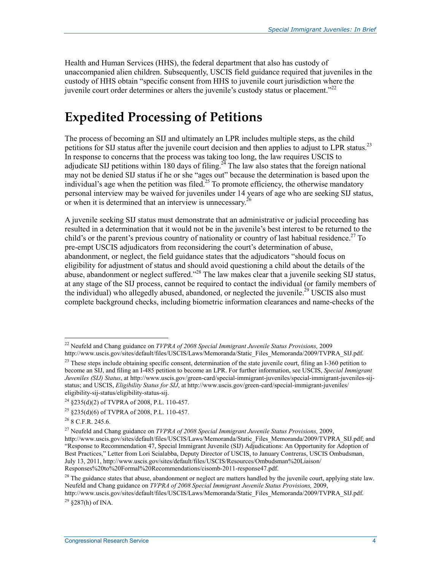Health and Human Services (HHS), the federal department that also has custody of unaccompanied alien children. Subsequently, USCIS field guidance required that juveniles in the custody of HHS obtain "specific consent from HHS to juvenile court jurisdiction where the juvenile court order determines or alters the juvenile's custody status or placement.<sup>222</sup>

## **Expedited Processing of Petitions**

The process of becoming an SIJ and ultimately an LPR includes multiple steps, as the child petitions for SIJ status after the juvenile court decision and then applies to adjust to LPR status.<sup>23</sup> In response to concerns that the process was taking too long, the law requires USCIS to adjudicate SIJ petitions within 180 days of filing.<sup>24</sup> The law also states that the foreign national may not be denied SIJ status if he or she "ages out" because the determination is based upon the individual's age when the petition was filed.<sup>25</sup> To promote efficiency, the otherwise mandatory personal interview may be waived for juveniles under 14 years of age who are seeking SIJ status, or when it is determined that an interview is unnecessary.<sup>26</sup>

A juvenile seeking SIJ status must demonstrate that an administrative or judicial proceeding has resulted in a determination that it would not be in the juvenile's best interest to be returned to the child's or the parent's previous country of nationality or country of last habitual residence.<sup>27</sup> To pre-empt USCIS adjudicators from reconsidering the court's determination of abuse, abandonment, or neglect, the field guidance states that the adjudicators "should focus on eligibility for adjustment of status and should avoid questioning a child about the details of the abuse, abandonment or neglect suffered."<sup>28</sup> The law makes clear that a juvenile seeking SIJ status, at any stage of the SIJ process, cannot be required to contact the individual (or family members of the individual) who allegedly abused, abandoned, or neglected the juvenile.<sup>29</sup> USCIS also must complete background checks, including biometric information clearances and name-checks of the

1

 $^{29}$  8287(h) of INA.

<sup>22</sup> Neufeld and Chang guidance on *TVPRA of 2008 Special Immigrant Juvenile Status Provisions,* 2009 http://www.uscis.gov/sites/default/files/USCIS/Laws/Memoranda/Static\_Files\_Memoranda/2009/TVPRA\_SIJ.pdf.

<sup>&</sup>lt;sup>23</sup> These steps include obtaining specific consent, determination of the state juvenile court, filing an I-360 petition to become an SIJ, and filing an I-485 petition to become an LPR. For further information, see USCIS, *Special Immigrant Juveniles (SIJ) Status*, at http://www.uscis.gov/green-card/special-immigrant-juveniles/special-immigrant-juveniles-sijstatus; and USCIS, *Eligibility Status for SIJ*, at http://www.uscis.gov/green-card/special-immigrant-juveniles/ eligibility-sij-status/eligibility-status-sij.

<sup>24 §235(</sup>d)(2) of TVPRA of 2008, P.L. 110-457.

<sup>25 §235(</sup>d)(6) of TVPRA of 2008, P.L. 110-457.

 $26$  8 C.F.R. 245.6.

<sup>27</sup> Neufeld and Chang guidance on *TVPRA of 2008 Special Immigrant Juvenile Status Provisions,* 2009, http://www.uscis.gov/sites/default/files/USCIS/Laws/Memoranda/Static\_Files\_Memoranda/2009/TVPRA\_SIJ.pdf; and "Response to Recommendation 47, Special Immigrant Juvenile (SIJ) Adjudications: An Opportunity for Adoption of Best Practices," Letter from Lori Scialabba, Deputy Director of USCIS, to January Contreras, USCIS Ombudsman, July 13, 2011, http://www.uscis.gov/sites/default/files/USCIS/Resources/Ombudsman%20Liaison/ Responses%20to%20Formal%20Recommendations/cisomb-2011-response47.pdf.

<sup>&</sup>lt;sup>28</sup> The guidance states that abuse, abandonment or neglect are matters handled by the juvenile court, applying state law. Neufeld and Chang guidance on *TVPRA of 2008 Special Immigrant Juvenile Status Provisions,* 2009, http://www.uscis.gov/sites/default/files/USCIS/Laws/Memoranda/Static\_Files\_Memoranda/2009/TVPRA\_SIJ.pdf.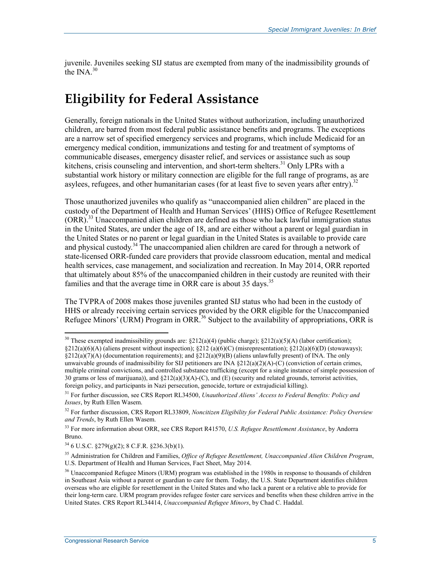juvenile. Juveniles seeking SIJ status are exempted from many of the inadmissibility grounds of the INA.<sup>30</sup>

## **Eligibility for Federal Assistance**

Generally, foreign nationals in the United States without authorization, including unauthorized children, are barred from most federal public assistance benefits and programs. The exceptions are a narrow set of specified emergency services and programs, which include Medicaid for an emergency medical condition, immunizations and testing for and treatment of symptoms of communicable diseases, emergency disaster relief, and services or assistance such as soup kitchens, crisis counseling and intervention, and short-term shelters.<sup>31</sup> Only LPRs with a substantial work history or military connection are eligible for the full range of programs, as are asylees, refugees, and other humanitarian cases (for at least five to seven years after entry).<sup>32</sup>

Those unauthorized juveniles who qualify as "unaccompanied alien children" are placed in the custody of the Department of Health and Human Services' (HHS) Office of Refugee Resettlement  $(ORR)$ <sup>33</sup> Unaccompanied alien children are defined as those who lack lawful immigration status in the United States, are under the age of 18, and are either without a parent or legal guardian in the United States or no parent or legal guardian in the United States is available to provide care and physical custody.<sup>34</sup> The unaccompanied alien children are cared for through a network of state-licensed ORR-funded care providers that provide classroom education, mental and medical health services, case management, and socialization and recreation. In May 2014, ORR reported that ultimately about 85% of the unaccompanied children in their custody are reunited with their families and that the average time in ORR care is about 35 days.<sup>35</sup>

The TVPRA of 2008 makes those juveniles granted SIJ status who had been in the custody of HHS or already receiving certain services provided by the ORR eligible for the Unaccompanied Refugee Minors' (URM) Program in ORR.<sup>36</sup> Subject to the availability of appropriations, ORR is

<u>.</u>

<sup>&</sup>lt;sup>30</sup> These exempted inadmissibility grounds are:  $\S212(a)(4)$  (public charge);  $\S212(a)(5)(A)$  (labor certification);

<sup>§212(</sup>a)(6)(A) (aliens present without inspection); §212 (a)(6)(C) (misrepresentation); §212(a)(6)(D) (stowaways); §212(a)(7)(A) (documentation requirements); and §212(a)(9)(B) (aliens unlawfully present) of INA. The only unwaivable grounds of inadmissibility for SIJ petitioners are INA  $\S212(a)(2)(A)$ -(C) (conviction of certain crimes, multiple criminal convictions, and controlled substance trafficking (except for a single instance of simple possession of 30 grams or less of marijuana)), and  $\S212(a)(3)(A)$ -(C), and (E) (security and related grounds, terrorist activities, foreign policy, and participants in Nazi persecution, genocide, torture or extrajudicial killing).

<sup>31</sup> For further discussion, see CRS Report RL34500, *Unauthorized Aliens' Access to Federal Benefits: Policy and Issues*, by Ruth Ellen Wasem.

<sup>32</sup> For further discussion, CRS Report RL33809, *Noncitizen Eligibility for Federal Public Assistance: Policy Overview and Trends*, by Ruth Ellen Wasem.

<sup>33</sup> For more information about ORR, see CRS Report R41570, *U.S. Refugee Resettlement Assistance*, by Andorra Bruno.

<sup>34 6</sup> U.S.C. §279(g)(2); 8 C.F.R. §236.3(b)(1).

<sup>35</sup> Administration for Children and Families, *Office of Refugee Resettlement, Unaccompanied Alien Children Program*, U.S. Department of Health and Human Services, Fact Sheet, May 2014.

<sup>&</sup>lt;sup>36</sup> Unaccompanied Refugee Minors (URM) program was established in the 1980s in response to thousands of children in Southeast Asia without a parent or guardian to care for them. Today, the U.S. State Department identifies children overseas who are eligible for resettlement in the United States and who lack a parent or a relative able to provide for their long-term care. URM program provides refugee foster care services and benefits when these children arrive in the United States. CRS Report RL34414, *Unaccompanied Refugee Minors*, by Chad C. Haddal.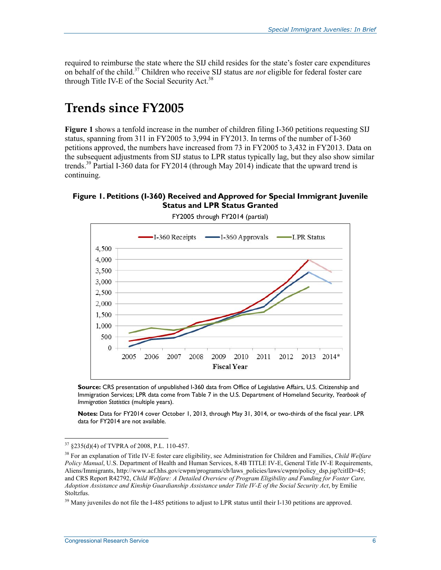required to reimburse the state where the SIJ child resides for the state's foster care expenditures on behalf of the child.37 Children who receive SIJ status are *not* eligible for federal foster care through Title IV-E of the Social Security Act.<sup>38</sup>

#### **Trends since FY2005**

**Figure 1** shows a tenfold increase in the number of children filing I-360 petitions requesting SIJ status, spanning from 311 in FY2005 to 3,994 in FY2013. In terms of the number of I-360 petitions approved, the numbers have increased from 73 in FY2005 to 3,432 in FY2013. Data on the subsequent adjustments from SIJ status to LPR status typically lag, but they also show similar trends.<sup>39</sup> Partial I-360 data for FY2014 (through May 2014) indicate that the upward trend is continuing.

#### **Figure 1. Petitions (I-360) Received and Approved for Special Immigrant Juvenile Status and LPR Status Granted**



FY2005 through FY2014 (partial)

**Source:** CRS presentation of unpublished I-360 data from Office of Legislative Affairs, U.S. Citizenship and Immigration Services; LPR data come from Table 7 in the U.S. Department of Homeland Security, *Yearbook of Immigration Statistics* (multiple years).

**Notes:** Data for FY2014 cover October 1, 2013, through May 31, 3014, or two-thirds of the fiscal year. LPR data for FY2014 are not available.

<sup>37</sup> §235(d)(4) of TVPRA of 2008, P.L. 110-457.

<sup>38</sup> For an explanation of Title IV-E foster care eligibility, see Administration for Children and Families, *Child Welfare Policy Manual*, U.S. Department of Health and Human Services, 8.4B TITLE IV-E, General Title IV-E Requirements, Aliens/Immigrants, http://www.acf.hhs.gov/cwpm/programs/cb/laws\_policies/laws/cwpm/policy\_dsp.jsp?citID=45; and CRS Report R42792, *Child Welfare: A Detailed Overview of Program Eligibility and Funding for Foster Care, Adoption Assistance and Kinship Guardianship Assistance under Title IV-E of the Social Security Act*, by Emilie Stoltzfus.

<sup>&</sup>lt;sup>39</sup> Many juveniles do not file the I-485 petitions to adjust to LPR status until their I-130 petitions are approved.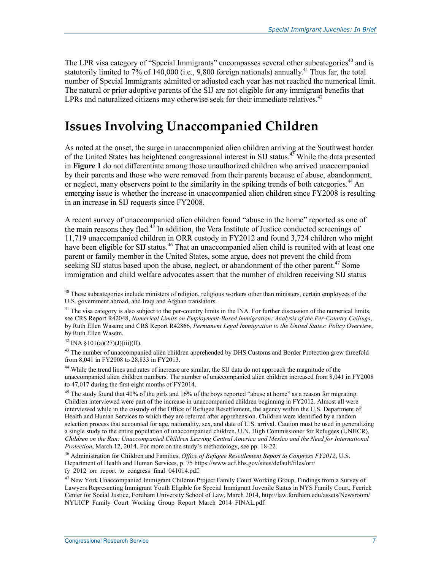The LPR visa category of "Special Immigrants" encompasses several other subcategories<sup>40</sup> and is statutorily limited to 7% of 140,000 (i.e., 9,800 foreign nationals) annually.<sup>41</sup> Thus far, the total number of Special Immigrants admitted or adjusted each year has not reached the numerical limit. The natural or prior adoptive parents of the SIJ are not eligible for any immigrant benefits that LPRs and naturalized citizens may otherwise seek for their immediate relatives.<sup>42</sup>

## **Issues Involving Unaccompanied Children**

As noted at the onset, the surge in unaccompanied alien children arriving at the Southwest border of the United States has heightened congressional interest in SIJ status.<sup>43</sup> While the data presented in **Figure 1** do not differentiate among those unauthorized children who arrived unaccompanied by their parents and those who were removed from their parents because of abuse, abandonment, or neglect, many observers point to the similarity in the spiking trends of both categories.<sup>44</sup> An emerging issue is whether the increase in unaccompanied alien children since FY2008 is resulting in an increase in SIJ requests since FY2008.

A recent survey of unaccompanied alien children found "abuse in the home" reported as one of the main reasons they fled.<sup>45</sup> In addition, the Vera Institute of Justice conducted screenings of 11,719 unaccompanied children in ORR custody in FY2012 and found 3,724 children who might have been eligible for SIJ status.<sup>46</sup> That an unaccompanied alien child is reunited with at least one parent or family member in the United States, some argue, does not prevent the child from seeking SIJ status based upon the abuse, neglect, or abandonment of the other parent.<sup>47</sup> Some immigration and child welfare advocates assert that the number of children receiving SIJ status

 $40$  These subcategories include ministers of religion, religious workers other than ministers, certain employees of the U.S. government abroad, and Iraqi and Afghan translators.

 $41$  The visa category is also subject to the per-country limits in the INA. For further discussion of the numerical limits, see CRS Report R42048, *Numerical Limits on Employment-Based Immigration: Analysis of the Per-Country Ceilings*, by Ruth Ellen Wasem; and CRS Report R42866, *Permanent Legal Immigration to the United States: Policy Overview*, by Ruth Ellen Wasem.

 $^{42}$  INA  $\frac{$101(a)(27)(J)(iii)(II)}{I}$ .

<sup>&</sup>lt;sup>43</sup> The number of unaccompanied alien children apprehended by DHS Customs and Border Protection grew threefold from 8,041 in FY2008 to 28,833 in FY2013.

<sup>44</sup> While the trend lines and rates of increase are similar, the SIJ data do not approach the magnitude of the unaccompanied alien children numbers. The number of unaccompanied alien children increased from 8,041 in FY2008 to 47,017 during the first eight months of FY2014.

<sup>&</sup>lt;sup>45</sup> The study found that 40% of the girls and 16% of the boys reported "abuse at home" as a reason for migrating. Children interviewed were part of the increase in unaccompanied children beginning in FY2012. Almost all were interviewed while in the custody of the Office of Refugee Resettlement, the agency within the U.S. Department of Health and Human Services to which they are referred after apprehension. Children were identified by a random selection process that accounted for age, nationality, sex, and date of U.S. arrival. Caution must be used in generalizing a single study to the entire population of unaccompanied children. U.N. High Commissioner for Refugees (UNHCR), *Children on the Run: Unaccompanied Children Leaving Central America and Mexico and the Need for International Protection*, March 12, 2014. For more on the study's methodology, see pp. 18-22.

<sup>46</sup> Administration for Children and Families, *Office of Refugee Resettlement Report to Congress FY2012*, U.S. Department of Health and Human Services, p. 75 https://www.acf.hhs.gov/sites/default/files/orr/ fy\_2012\_orr\_report\_to\_congress\_final\_041014.pdf.

<sup>&</sup>lt;sup>47</sup> New York Unaccompanied Immigrant Children Project Family Court Working Group, Findings from a Survey of Lawyers Representing Immigrant Youth Eligible for Special Immigrant Juvenile Status in NYS Family Court, Feerick Center for Social Justice, Fordham University School of Law, March 2014, http://law.fordham.edu/assets/Newsroom/ NYUICP\_Family\_Court\_Working\_Group\_Report\_March\_2014\_FINAL.pdf.